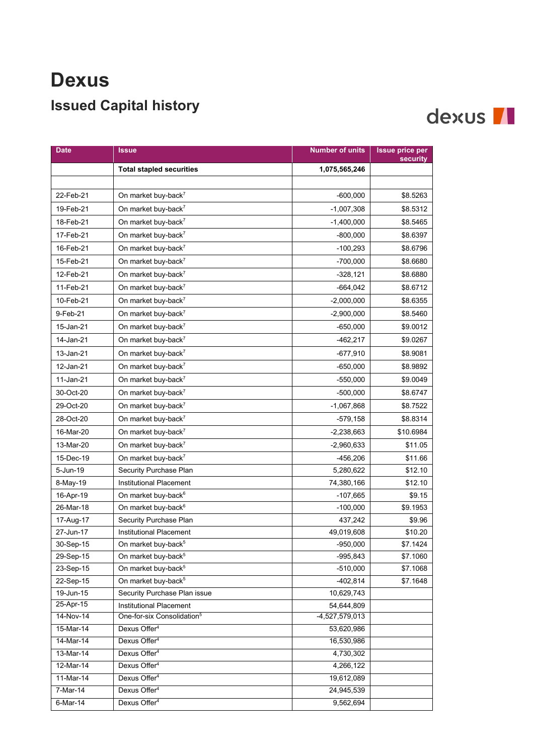## **Dexus Issued Capital history**

## dexus II

| <b>Date</b><br>Issue                                              | <b>Number of units</b> | <b>Issue price per</b><br>security |
|-------------------------------------------------------------------|------------------------|------------------------------------|
| <b>Total stapled securities</b>                                   | 1,075,565,246          |                                    |
|                                                                   |                        |                                    |
| 22-Feb-21<br>On market buy-back <sup>7</sup>                      | $-600,000$             | \$8.5263                           |
| 19-Feb-21<br>On market buy-back <sup>7</sup>                      | $-1,007,308$           | \$8.5312                           |
| 18-Feb-21<br>On market buy-back <sup>7</sup>                      | $-1,400,000$           | \$8.5465                           |
| On market buy-back <sup>7</sup><br>17-Feb-21                      | $-800,000$             | \$8.6397                           |
| On market buy-back <sup>7</sup><br>16-Feb-21                      | $-100,293$             | \$8.6796                           |
| 15-Feb-21<br>On market buy-back <sup>7</sup>                      | $-700,000$             | \$8.6680                           |
| On market buy-back <sup>7</sup><br>12-Feb-21                      | $-328,121$             | \$8.6880                           |
| 11-Feb-21<br>On market buy-back <sup>7</sup>                      | $-664,042$             | \$8.6712                           |
| 10-Feb-21<br>On market buy-back <sup>7</sup>                      | $-2,000,000$           | \$8.6355                           |
| 9-Feb-21<br>On market buy-back <sup>7</sup>                       | $-2,900,000$           | \$8.5460                           |
| 15-Jan-21<br>On market buy-back <sup>7</sup>                      | $-650,000$             | \$9.0012                           |
| 14-Jan-21<br>On market buy-back <sup>7</sup>                      | -462,217               | \$9.0267                           |
| On market buy-back <sup>7</sup><br>13-Jan-21                      | -677,910               | \$8.9081                           |
| 12-Jan-21<br>On market buy-back <sup>7</sup>                      | $-650,000$             | \$8.9892                           |
| 11-Jan-21<br>On market buy-back <sup>7</sup>                      | $-550,000$             | \$9.0049                           |
| On market buy-back <sup>7</sup><br>30-Oct-20                      | $-500,000$             | \$8.6747                           |
| On market buy-back <sup>7</sup><br>29-Oct-20                      | -1,067,868             | \$8.7522                           |
| On market buy-back <sup>7</sup><br>28-Oct-20                      | $-579,158$             | \$8.8314                           |
| 16-Mar-20<br>On market buy-back <sup>7</sup>                      | $-2,238,663$           | \$10.6984                          |
| On market buy-back <sup>7</sup><br>13-Mar-20                      | $-2,960,633$           | \$11.05                            |
| 15-Dec-19<br>On market buy-back <sup>7</sup>                      | $-456,206$             | \$11.66                            |
| 5-Jun-19<br>Security Purchase Plan                                | 5,280,622              | \$12.10                            |
| <b>Institutional Placement</b><br>8-May-19                        | 74,380,166             | \$12.10                            |
| On market buy-back <sup>6</sup><br>16-Apr-19                      | $-107,665$             | \$9.15                             |
| 26-Mar-18<br>On market buy-back <sup>6</sup>                      | $-100,000$             | \$9.1953                           |
| Security Purchase Plan<br>17-Aug-17                               | 437,242                | \$9.96                             |
| 27-Jun-17<br>Institutional Placement                              | 49,019,608             | \$10.20                            |
| 30-Sep-15<br>On market buy-back <sup>5</sup>                      | $-950,000$             | \$7.1424                           |
| On market buy-back <sup>5</sup><br>29-Sep-15                      | $-995,843$             | \$7.1060                           |
| On market buy-back <sup>5</sup><br>23-Sep-15                      | $-510,000$             | \$7.1068                           |
| On market buy-back <sup>5</sup><br>22-Sep-15                      | $-402,814$             | \$7.1648                           |
| 19-Jun-15<br>Security Purchase Plan issue                         | 10,629,743             |                                    |
| 25-Apr-15<br>Institutional Placement                              | 54,644,809             |                                    |
| 14-Nov-14<br>One-for-six Consolidation <sup>5</sup>               | -4,527,579,013         |                                    |
| 15-Mar-14<br>Dexus Offer <sup>4</sup><br>Dexus Offer <sup>4</sup> | 53,620,986             |                                    |
| 14-Mar-14<br>Dexus Offer <sup>4</sup><br>13-Mar-14                | 16,530,986             |                                    |
| 12-Mar-14<br>Dexus Offer <sup>4</sup>                             | 4,730,302<br>4,266,122 |                                    |
| Dexus Offer <sup>4</sup><br>11-Mar-14                             | 19,612,089             |                                    |
| Dexus Offer <sup>4</sup><br>7-Mar-14                              | 24,945,539             |                                    |
| Dexus Offer <sup>4</sup><br>6-Mar-14                              | 9,562,694              |                                    |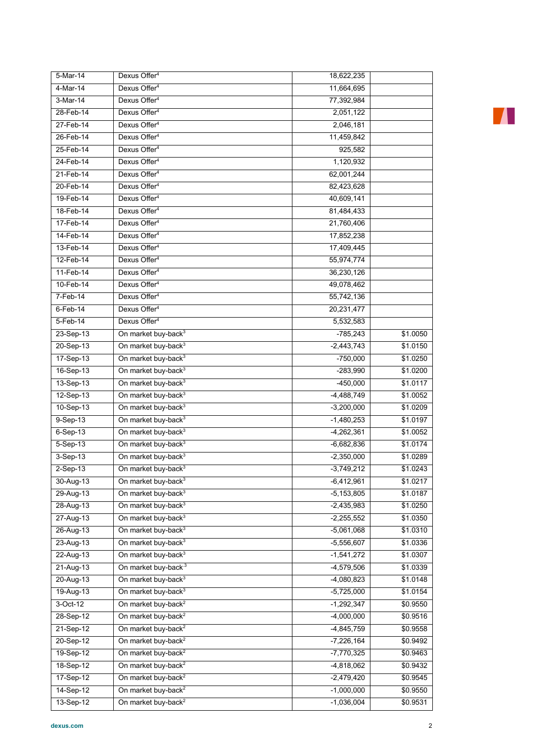| 5-Mar-14      | Dexus Offer <sup>4</sup>        | 18,622,235   |          |
|---------------|---------------------------------|--------------|----------|
| 4-Mar-14      | Dexus Offer <sup>4</sup>        | 11,664,695   |          |
| 3-Mar-14      | Dexus Offer <sup>4</sup>        | 77,392,984   |          |
| 28-Feb-14     | Dexus Offer <sup>4</sup>        | 2,051,122    |          |
| 27-Feb-14     | Dexus Offer <sup>4</sup>        | 2,046,181    |          |
| 26-Feb-14     | Dexus Offer <sup>4</sup>        | 11,459,842   |          |
| 25-Feb-14     | Dexus Offer <sup>4</sup>        | 925,582      |          |
| 24-Feb-14     | Dexus Offer <sup>4</sup>        | 1,120,932    |          |
| 21-Feb-14     | Dexus Offer <sup>4</sup>        | 62,001,244   |          |
| $20$ -Feb-14  | Dexus Offer <sup>4</sup>        | 82,423,628   |          |
| 19-Feb-14     | Dexus Offer <sup>4</sup>        | 40,609,141   |          |
| 18-Feb-14     | Dexus Offer <sup>4</sup>        | 81,484,433   |          |
| 17-Feb-14     | Dexus Offer <sup>4</sup>        | 21,760,406   |          |
| 14-Feb-14     | Dexus Offer <sup>4</sup>        | 17,852,238   |          |
| 13-Feb-14     | Dexus Offer <sup>4</sup>        | 17,409,445   |          |
| 12-Feb-14     | Dexus Offer <sup>4</sup>        | 55,974,774   |          |
| 11-Feb-14     | Dexus Offer <sup>4</sup>        | 36,230,126   |          |
| 10-Feb-14     | Dexus Offer <sup>4</sup>        | 49,078,462   |          |
| 7-Feb-14      | Dexus Offer <sup>4</sup>        | 55,742,136   |          |
| $6$ -Feb-14   | Dexus Offer <sup>4</sup>        | 20,231,477   |          |
| 5-Feb-14      | Dexus Offer <sup>4</sup>        | 5,532,583    |          |
| 23-Sep-13     | On market buy-back <sup>3</sup> | $-785,243$   | \$1.0050 |
| 20-Sep-13     | On market buy-back <sup>3</sup> | $-2,443,743$ | \$1.0150 |
| 17-Sep-13     | On market buy-back <sup>3</sup> | $-750,000$   | \$1.0250 |
| 16-Sep-13     | On market buy-back <sup>3</sup> | $-283,990$   | \$1.0200 |
| 13-Sep-13     | On market buy-back <sup>3</sup> | $-450,000$   | \$1.0117 |
| 12-Sep-13     | On market buy-back <sup>3</sup> | $-4,488,749$ | \$1.0052 |
| 10-Sep-13     | On market buy-back <sup>3</sup> | $-3,200,000$ | \$1.0209 |
| $9-Sep-13$    | On market buy-back <sup>3</sup> | $-1,480,253$ | \$1.0197 |
| $6-Sep-13$    | On market buy-back <sup>3</sup> | $-4,262,361$ | \$1.0052 |
| 5-Sep-13      | On market buy-back <sup>3</sup> | $-6,682,836$ | \$1.0174 |
| 3-Sep-13      | On market buy-back <sup>3</sup> | $-2,350,000$ | \$1.0289 |
| $2-Sep-13$    | On market buy-back <sup>3</sup> | $-3,749,212$ | \$1.0243 |
| $30 - Aug-13$ | On market buy-back <sup>3</sup> | $-6,412,961$ | \$1.0217 |
| 29-Aug-13     | On market buy-back <sup>3</sup> | $-5,153,805$ | \$1.0187 |
| 28-Aug-13     | On market buy-back <sup>3</sup> | $-2,435,983$ | \$1.0250 |
| 27-Aug-13     | On market buy-back <sup>3</sup> | $-2,255,552$ | \$1.0350 |
| 26-Aug-13     | On market buy-back <sup>3</sup> | $-5,061,068$ | \$1.0310 |
| 23-Aug-13     | On market buy-back <sup>3</sup> | $-5,556,607$ | \$1.0336 |
| 22-Aug-13     | On market buy-back <sup>3</sup> | $-1,541,272$ | \$1.0307 |
| $21-Aug-13$   | On market buy-back <sup>3</sup> | $-4,579,506$ | \$1.0339 |
| 20-Aug-13     | On market buy-back <sup>3</sup> | $-4,080,823$ | \$1.0148 |
| 19-Aug-13     | On market buy-back <sup>3</sup> | $-5,725,000$ | \$1.0154 |
| 3-Oct-12      | On market buy-back <sup>2</sup> | $-1,292,347$ | \$0.9550 |
| 28-Sep-12     | On market buy-back <sup>2</sup> | $-4,000,000$ | \$0.9516 |
| 21-Sep-12     | On market buy-back <sup>2</sup> | $-4,845,759$ | \$0.9558 |
| 20-Sep-12     | On market buy-back <sup>2</sup> | $-7,226,164$ | \$0.9492 |
| 19-Sep-12     | On market buy-back <sup>2</sup> | $-7,770,325$ | \$0.9463 |
| 18-Sep-12     | On market buy-back <sup>2</sup> | $-4,818,062$ | \$0.9432 |
| 17-Sep-12     | On market buy-back <sup>2</sup> | $-2,479,420$ | \$0.9545 |
| 14-Sep-12     | On market buy-back <sup>2</sup> | $-1,000,000$ | \$0.9550 |
| 13-Sep-12     | On market buy-back <sup>2</sup> | $-1,036,004$ | \$0.9531 |
|               |                                 |              |          |

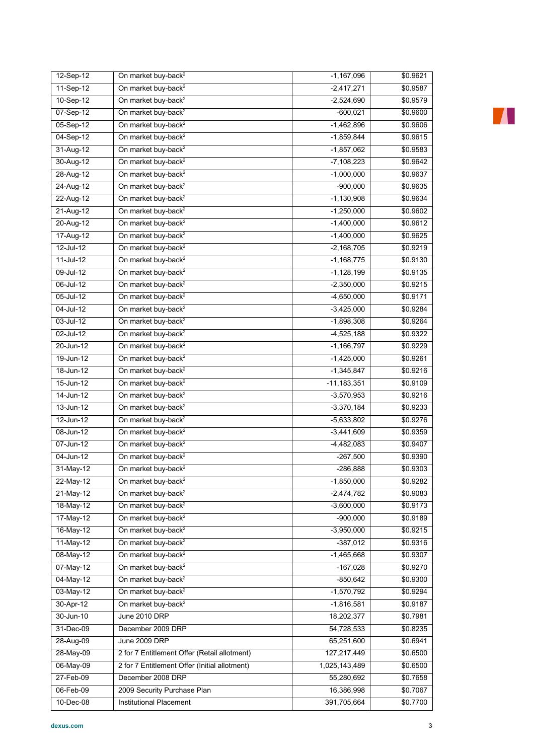| 12-Sep-12     | On market buy-back <sup>2</sup>               | $-1,167,096$    | \$0.9621 |
|---------------|-----------------------------------------------|-----------------|----------|
| 11-Sep-12     | On market buy-back <sup>2</sup>               | $-2,417,271$    | \$0.9587 |
| 10-Sep-12     | On market buy-back <sup>2</sup>               | $-2,524,690$    | \$0.9579 |
| 07-Sep-12     | On market buy-back <sup>2</sup>               | $-600,021$      | \$0.9600 |
| 05-Sep-12     | On market buy-back <sup>2</sup>               | $-1,462,896$    | \$0.9606 |
| 04-Sep-12     | On market buy-back <sup>2</sup>               | $-1,859,844$    | \$0.9615 |
| 31-Aug-12     | On market buy-back <sup>2</sup>               | $-1,857,062$    | \$0.9583 |
| 30-Aug-12     | On market buy-back <sup>2</sup>               | $-7,108,223$    | \$0.9642 |
| 28-Aug-12     | On market buy-back <sup>2</sup>               | $-1,000,000$    | \$0.9637 |
| 24-Aug-12     | On market buy-back <sup>2</sup>               | $-900,000$      | \$0.9635 |
| 22-Aug-12     | On market buy-back <sup>2</sup>               | $-1,130,908$    | \$0.9634 |
| 21-Aug-12     | On market buy-back <sup>2</sup>               | $-1,250,000$    | \$0.9602 |
| 20-Aug-12     | On market buy-back <sup>2</sup>               | $-1,400,000$    | \$0.9612 |
| 17-Aug-12     | On market buy-back <sup>2</sup>               | $-1,400,000$    | \$0.9625 |
| 12-Jul-12     | On market buy-back <sup>2</sup>               | $-2,168,705$    | \$0.9219 |
| $11-Jul-12$   | On market buy-back <sup>2</sup>               | $-1,168,775$    | \$0.9130 |
| 09-Jul-12     | On market buy-back <sup>2</sup>               | $-1,128,199$    | \$0.9135 |
| 06-Jul-12     | On market buy-back <sup>2</sup>               | $-2,350,000$    | \$0.9215 |
| 05-Jul-12     | On market buy-back <sup>2</sup>               | $-4,650,000$    | \$0.9171 |
| 04-Jul-12     | On market buy-back <sup>2</sup>               | $-3,425,000$    | \$0.9284 |
| 03-Jul-12     | On market buy-back <sup>2</sup>               | $-1,898,308$    | \$0.9264 |
| 02-Jul-12     | On market buy-back <sup>2</sup>               | $-4,525,188$    | \$0.9322 |
| $20 - Jun-12$ | On market buy-back <sup>2</sup>               | $-1,166,797$    | \$0.9229 |
| 19-Jun-12     | On market buy-back <sup>2</sup>               | $-1,425,000$    | \$0.9261 |
| 18-Jun-12     | On market buy-back <sup>2</sup>               | $-1,345,847$    | \$0.9216 |
| 15-Jun-12     | On market buy-back <sup>2</sup>               | $-11, 183, 351$ | \$0.9109 |
| $14$ -Jun-12  | On market buy-back <sup>2</sup>               | $-3,570,953$    | \$0.9216 |
| $13 - Jun-12$ | On market buy-back <sup>2</sup>               | $-3,370,184$    | \$0.9233 |
| $12$ -Jun-12  | On market buy-back <sup>2</sup>               | $-5,633,802$    | \$0.9276 |
| 08-Jun-12     | On market buy-back <sup>2</sup>               | $-3,441,609$    | \$0.9359 |
| 07-Jun-12     | On market buy-back <sup>2</sup>               | $-4,482,083$    | \$0.9407 |
| 04-Jun-12     | On market buy-back <sup>2</sup>               | $-267,500$      | \$0.9390 |
| $31-May-12$   | On market buy-back <sup>2</sup>               | -286,888        | \$0.9303 |
| 22-May-12     | On market buy-back <sup>2</sup>               | $-1,850,000$    | \$0.9282 |
| 21-May-12     | On market buy-back <sup>2</sup>               | $-2,474,782$    | \$0.9083 |
| $18-May-12$   | On market buy-back <sup>2</sup>               | $-3,600,000$    | \$0.9173 |
| 17-May-12     | On market buy-back <sup>2</sup>               | $-900,000$      | \$0.9189 |
| 16-May-12     | On market buy-back <sup>2</sup>               | $-3,950,000$    | \$0.9215 |
| 11-May-12     | On market buy-back <sup>2</sup>               | $-387,012$      | \$0.9316 |
| 08-May-12     | On market buy-back <sup>2</sup>               | $-1,465,668$    | \$0.9307 |
| 07-May-12     | On market buy-back <sup>2</sup>               | $-167,028$      | \$0.9270 |
| 04-May-12     | On market buy-back <sup>2</sup>               | $-850,642$      | \$0.9300 |
| 03-May-12     | On market buy-back <sup>2</sup>               | $-1,570,792$    | \$0.9294 |
| 30-Apr-12     | On market buy-back <sup>2</sup>               | $-1,816,581$    | \$0.9187 |
| 30-Jun-10     | June 2010 DRP                                 | 18,202,377      | \$0.7981 |
| 31-Dec-09     | December 2009 DRP                             | 54,728,533      | \$0.8235 |
| 28-Aug-09     | June 2009 DRP                                 | 65,251,600      | \$0.6941 |
| 28-May-09     | 2 for 7 Entitlement Offer (Retail allotment)  | 127,217,449     | \$0.6500 |
| 06-May-09     | 2 for 7 Entitlement Offer (Initial allotment) | 1,025,143,489   | \$0.6500 |
| 27-Feb-09     | December 2008 DRP                             | 55,280,692      | \$0.7658 |
| 06-Feb-09     | 2009 Security Purchase Plan                   | 16,386,998      | \$0.7067 |
| 10-Dec-08     | Institutional Placement                       | 391,705,664     | \$0.7700 |